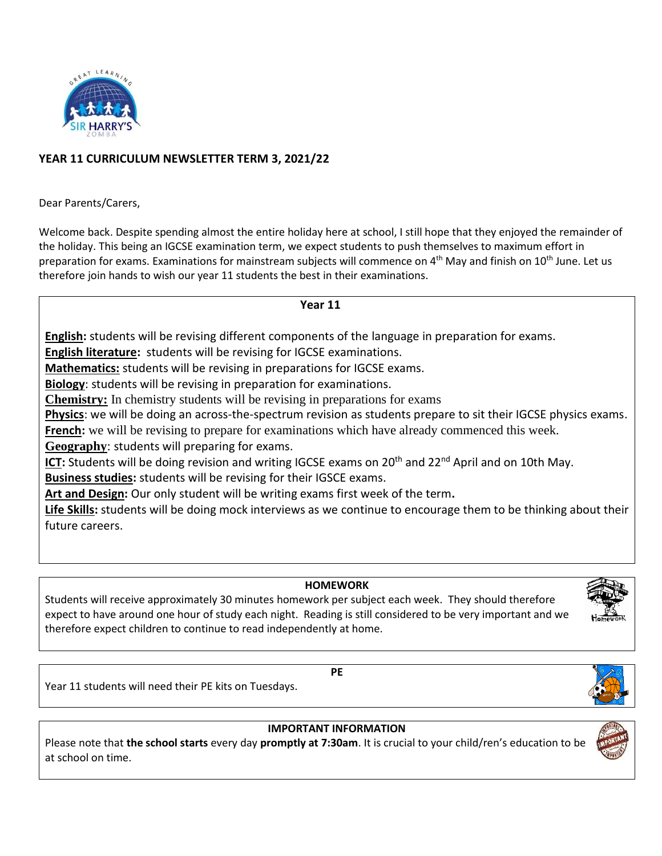

## **YEAR 11 CURRICULUM NEWSLETTER TERM 3, 2021/22**

Dear Parents/Carers,

Welcome back. Despite spending almost the entire holiday here at school, I still hope that they enjoyed the remainder of the holiday. This being an IGCSE examination term, we expect students to push themselves to maximum effort in preparation for exams. Examinations for mainstream subjects will commence on 4<sup>th</sup> May and finish on 10<sup>th</sup> June. Let us therefore join hands to wish our year 11 students the best in their examinations.

 **Year 11**

**English:** students will be revising different components of the language in preparation for exams.

**English literature:** students will be revising for IGCSE examinations.

**Mathematics:** students will be revising in preparations for IGCSE exams.

**Biology**: students will be revising in preparation for examinations.

**Chemistry:** In chemistry students will be revising in preparations for exams

**Physics**: we will be doing an across-the-spectrum revision as students prepare to sit their IGCSE physics exams. **French:** we will be revising to prepare for examinations which have already commenced this week.

**Geography**: students will preparing for exams.

**ICT:** Students will be doing revision and writing IGCSE exams on 20<sup>th</sup> and 22<sup>nd</sup> April and on 10th May.

**Business studies:** students will be revising for their IGSCE exams.

**Art and Design:** Our only student will be writing exams first week of the term**.**

**Life Skills:** students will be doing mock interviews as we continue to encourage them to be thinking about their future careers.

## **HOMEWORK**

Students will receive approximately 30 minutes homework per subject each week. They should therefore expect to have around one hour of study each night. Reading is still considered to be very important and we therefore expect children to continue to read independently at home.



**PE** 

Year 11 students will need their PE kits on Tuesdays.



## **IMPORTANT INFORMATION**

Please note that **the school starts** every day **promptly at 7:30am**. It is crucial to your child/ren's education to be at school on time.